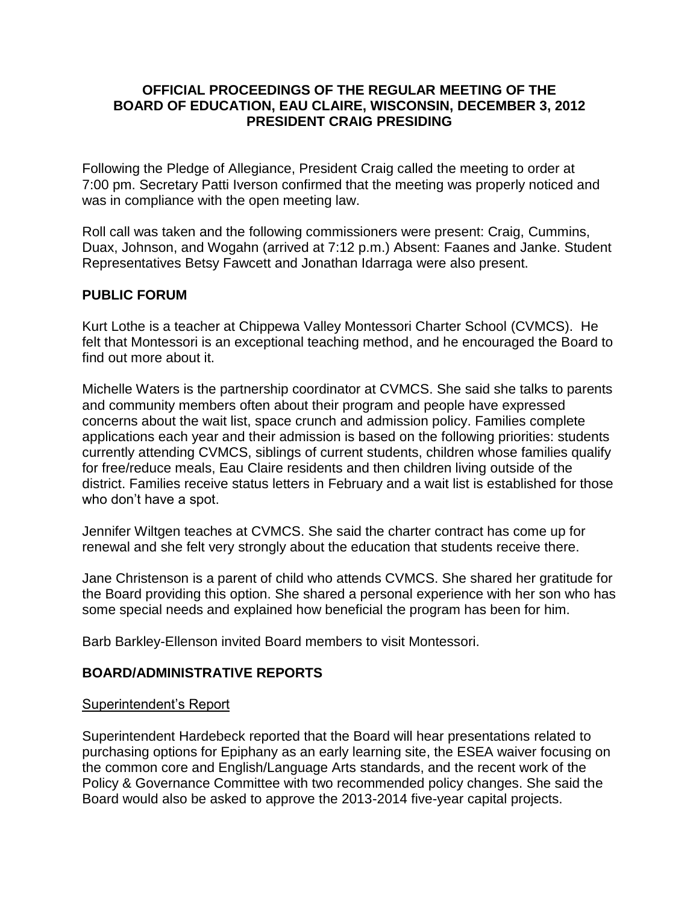### **OFFICIAL PROCEEDINGS OF THE REGULAR MEETING OF THE BOARD OF EDUCATION, EAU CLAIRE, WISCONSIN, DECEMBER 3, 2012 PRESIDENT CRAIG PRESIDING**

Following the Pledge of Allegiance, President Craig called the meeting to order at 7:00 pm. Secretary Patti Iverson confirmed that the meeting was properly noticed and was in compliance with the open meeting law.

Roll call was taken and the following commissioners were present: Craig, Cummins, Duax, Johnson, and Wogahn (arrived at 7:12 p.m.) Absent: Faanes and Janke. Student Representatives Betsy Fawcett and Jonathan Idarraga were also present.

# **PUBLIC FORUM**

Kurt Lothe is a teacher at Chippewa Valley Montessori Charter School (CVMCS). He felt that Montessori is an exceptional teaching method, and he encouraged the Board to find out more about it.

Michelle Waters is the partnership coordinator at CVMCS. She said she talks to parents and community members often about their program and people have expressed concerns about the wait list, space crunch and admission policy. Families complete applications each year and their admission is based on the following priorities: students currently attending CVMCS, siblings of current students, children whose families qualify for free/reduce meals, Eau Claire residents and then children living outside of the district. Families receive status letters in February and a wait list is established for those who don't have a spot.

Jennifer Wiltgen teaches at CVMCS. She said the charter contract has come up for renewal and she felt very strongly about the education that students receive there.

Jane Christenson is a parent of child who attends CVMCS. She shared her gratitude for the Board providing this option. She shared a personal experience with her son who has some special needs and explained how beneficial the program has been for him.

Barb Barkley-Ellenson invited Board members to visit Montessori.

# **BOARD/ADMINISTRATIVE REPORTS**

# Superintendent's Report

Superintendent Hardebeck reported that the Board will hear presentations related to purchasing options for Epiphany as an early learning site, the ESEA waiver focusing on the common core and English/Language Arts standards, and the recent work of the Policy & Governance Committee with two recommended policy changes. She said the Board would also be asked to approve the 2013-2014 five-year capital projects.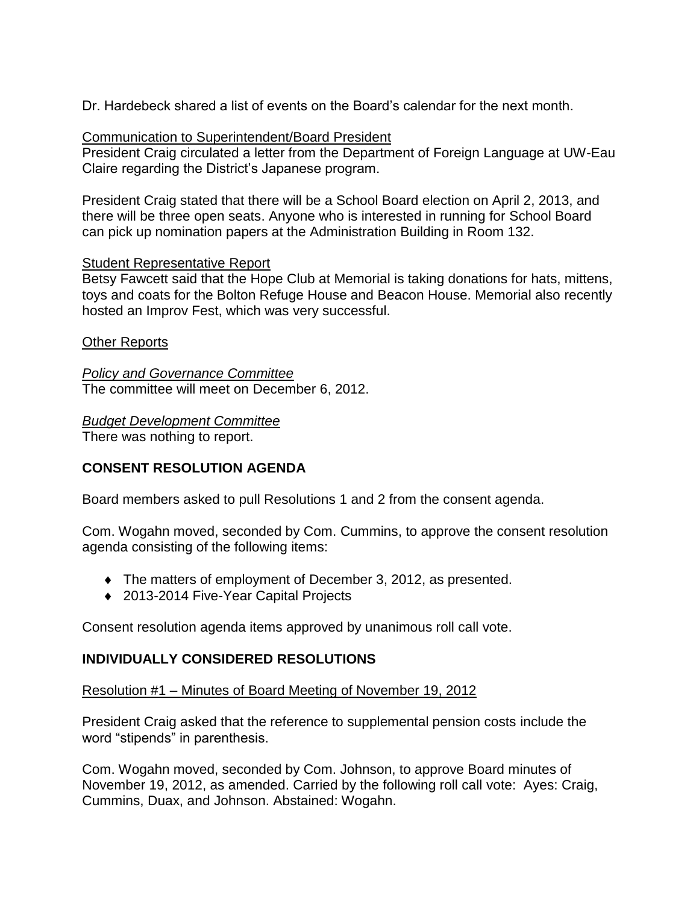Dr. Hardebeck shared a list of events on the Board's calendar for the next month.

### Communication to Superintendent/Board President

President Craig circulated a letter from the Department of Foreign Language at UW-Eau Claire regarding the District's Japanese program.

President Craig stated that there will be a School Board election on April 2, 2013, and there will be three open seats. Anyone who is interested in running for School Board can pick up nomination papers at the Administration Building in Room 132.

### Student Representative Report

Betsy Fawcett said that the Hope Club at Memorial is taking donations for hats, mittens, toys and coats for the Bolton Refuge House and Beacon House. Memorial also recently hosted an Improv Fest, which was very successful.

### Other Reports

*Policy and Governance Committee* The committee will meet on December 6, 2012.

*Budget Development Committee*

There was nothing to report.

# **CONSENT RESOLUTION AGENDA**

Board members asked to pull Resolutions 1 and 2 from the consent agenda.

Com. Wogahn moved, seconded by Com. Cummins, to approve the consent resolution agenda consisting of the following items:

- The matters of employment of December 3, 2012, as presented.
- ◆ 2013-2014 Five-Year Capital Projects

Consent resolution agenda items approved by unanimous roll call vote.

# **INDIVIDUALLY CONSIDERED RESOLUTIONS**

#### Resolution #1 – Minutes of Board Meeting of November 19, 2012

President Craig asked that the reference to supplemental pension costs include the word "stipends" in parenthesis.

Com. Wogahn moved, seconded by Com. Johnson, to approve Board minutes of November 19, 2012, as amended. Carried by the following roll call vote: Ayes: Craig, Cummins, Duax, and Johnson. Abstained: Wogahn.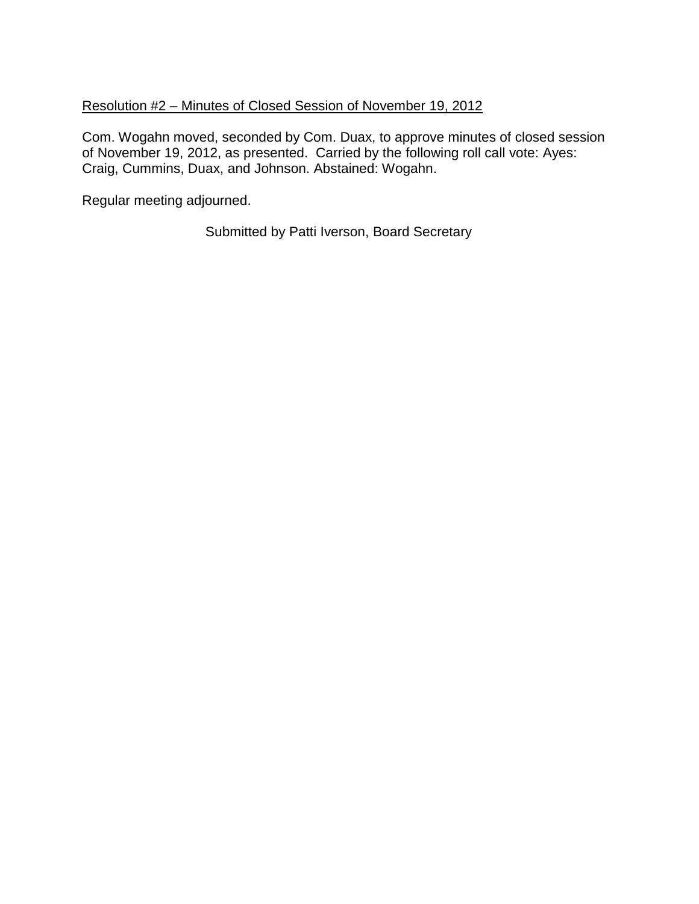# Resolution #2 – Minutes of Closed Session of November 19, 2012

Com. Wogahn moved, seconded by Com. Duax, to approve minutes of closed session of November 19, 2012, as presented. Carried by the following roll call vote: Ayes: Craig, Cummins, Duax, and Johnson. Abstained: Wogahn.

Regular meeting adjourned.

Submitted by Patti Iverson, Board Secretary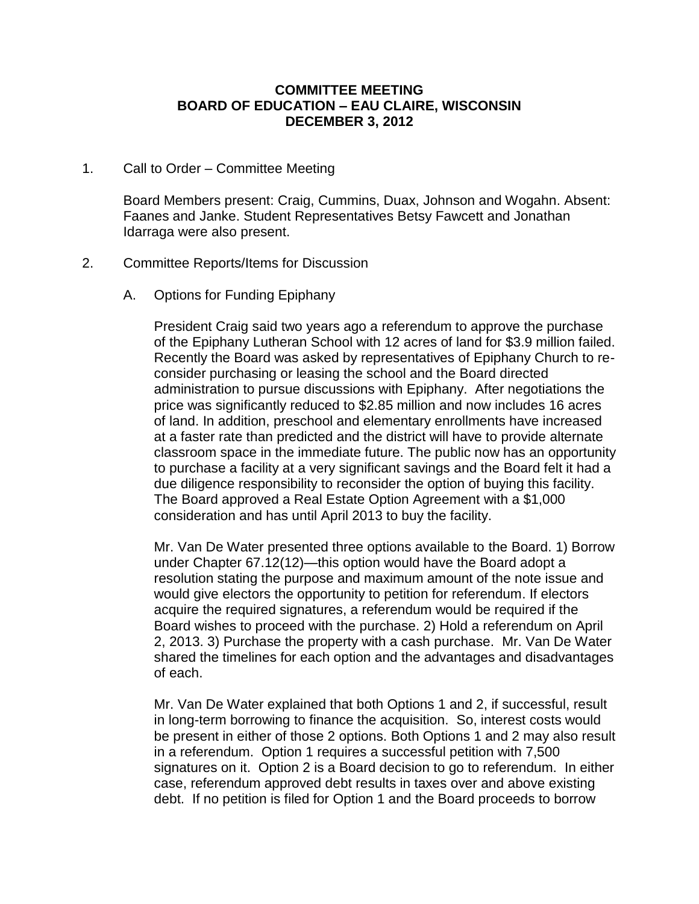### **COMMITTEE MEETING BOARD OF EDUCATION – EAU CLAIRE, WISCONSIN DECEMBER 3, 2012**

### 1. Call to Order – Committee Meeting

Board Members present: Craig, Cummins, Duax, Johnson and Wogahn. Absent: Faanes and Janke. Student Representatives Betsy Fawcett and Jonathan Idarraga were also present.

### 2. Committee Reports/Items for Discussion

A. Options for Funding Epiphany

President Craig said two years ago a referendum to approve the purchase of the Epiphany Lutheran School with 12 acres of land for \$3.9 million failed. Recently the Board was asked by representatives of Epiphany Church to reconsider purchasing or leasing the school and the Board directed administration to pursue discussions with Epiphany. After negotiations the price was significantly reduced to \$2.85 million and now includes 16 acres of land. In addition, preschool and elementary enrollments have increased at a faster rate than predicted and the district will have to provide alternate classroom space in the immediate future. The public now has an opportunity to purchase a facility at a very significant savings and the Board felt it had a due diligence responsibility to reconsider the option of buying this facility. The Board approved a Real Estate Option Agreement with a \$1,000 consideration and has until April 2013 to buy the facility.

Mr. Van De Water presented three options available to the Board. 1) Borrow under Chapter 67.12(12)—this option would have the Board adopt a resolution stating the purpose and maximum amount of the note issue and would give electors the opportunity to petition for referendum. If electors acquire the required signatures, a referendum would be required if the Board wishes to proceed with the purchase. 2) Hold a referendum on April 2, 2013. 3) Purchase the property with a cash purchase. Mr. Van De Water shared the timelines for each option and the advantages and disadvantages of each.

Mr. Van De Water explained that both Options 1 and 2, if successful, result in long-term borrowing to finance the acquisition. So, interest costs would be present in either of those 2 options. Both Options 1 and 2 may also result in a referendum. Option 1 requires a successful petition with 7,500 signatures on it. Option 2 is a Board decision to go to referendum. In either case, referendum approved debt results in taxes over and above existing debt. If no petition is filed for Option 1 and the Board proceeds to borrow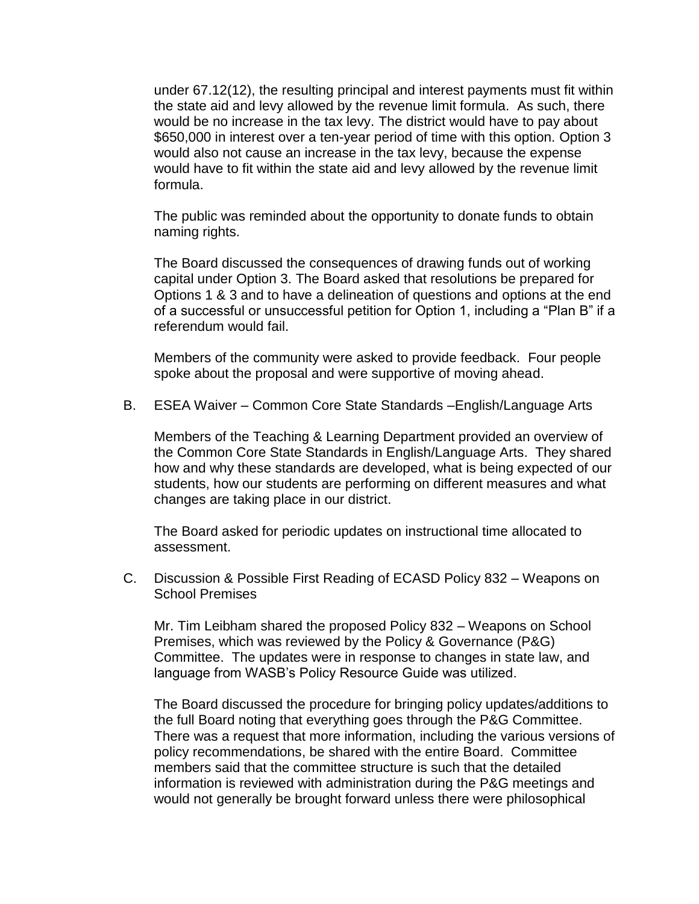under 67.12(12), the resulting principal and interest payments must fit within the state aid and levy allowed by the revenue limit formula. As such, there would be no increase in the tax levy. The district would have to pay about \$650,000 in interest over a ten-year period of time with this option. Option 3 would also not cause an increase in the tax levy, because the expense would have to fit within the state aid and levy allowed by the revenue limit formula.

The public was reminded about the opportunity to donate funds to obtain naming rights.

The Board discussed the consequences of drawing funds out of working capital under Option 3. The Board asked that resolutions be prepared for Options 1 & 3 and to have a delineation of questions and options at the end of a successful or unsuccessful petition for Option 1, including a "Plan B" if a referendum would fail.

Members of the community were asked to provide feedback. Four people spoke about the proposal and were supportive of moving ahead.

B. ESEA Waiver – Common Core State Standards –English/Language Arts

Members of the Teaching & Learning Department provided an overview of the Common Core State Standards in English/Language Arts. They shared how and why these standards are developed, what is being expected of our students, how our students are performing on different measures and what changes are taking place in our district.

The Board asked for periodic updates on instructional time allocated to assessment.

C. Discussion & Possible First Reading of ECASD Policy 832 – Weapons on School Premises

Mr. Tim Leibham shared the proposed Policy 832 – Weapons on School Premises, which was reviewed by the Policy & Governance (P&G) Committee. The updates were in response to changes in state law, and language from WASB's Policy Resource Guide was utilized.

The Board discussed the procedure for bringing policy updates/additions to the full Board noting that everything goes through the P&G Committee. There was a request that more information, including the various versions of policy recommendations, be shared with the entire Board. Committee members said that the committee structure is such that the detailed information is reviewed with administration during the P&G meetings and would not generally be brought forward unless there were philosophical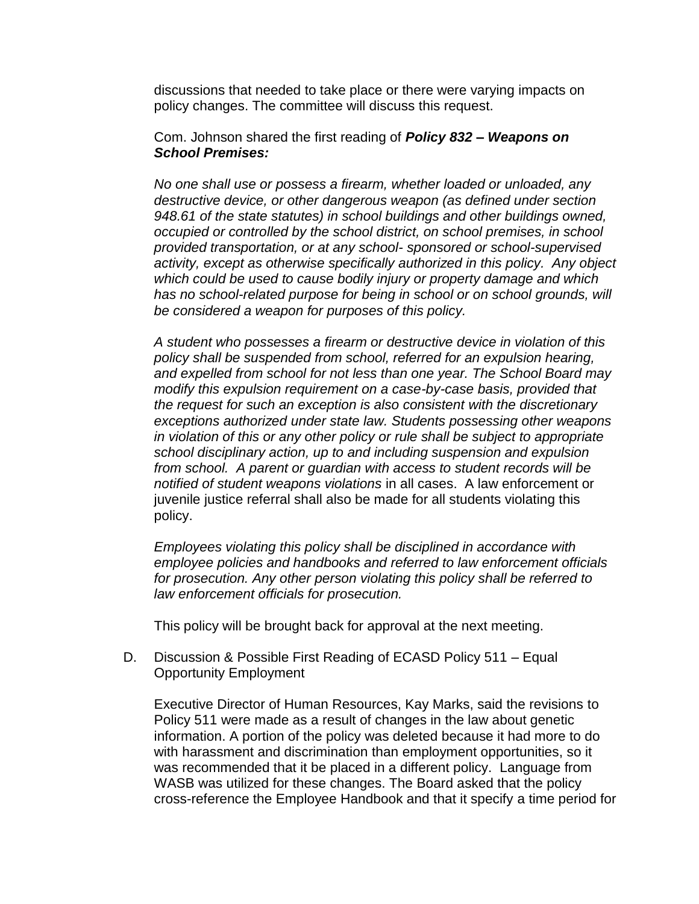discussions that needed to take place or there were varying impacts on policy changes. The committee will discuss this request.

Com. Johnson shared the first reading of *Policy 832 – Weapons on School Premises:*

*No one shall use or possess a firearm, whether loaded or unloaded, any destructive device, or other dangerous weapon (as defined under section 948.61 of the state statutes) in school buildings and other buildings owned, occupied or controlled by the school district, on school premises, in school provided transportation, or at any school- sponsored or school-supervised activity, except as otherwise specifically authorized in this policy. Any object which could be used to cause bodily injury or property damage and which has no school-related purpose for being in school or on school grounds, will be considered a weapon for purposes of this policy.*

*A student who possesses a firearm or destructive device in violation of this policy shall be suspended from school, referred for an expulsion hearing, and expelled from school for not less than one year. The School Board may modify this expulsion requirement on a case-by-case basis, provided that the request for such an exception is also consistent with the discretionary exceptions authorized under state law. Students possessing other weapons in violation of this or any other policy or rule shall be subject to appropriate school disciplinary action, up to and including suspension and expulsion from school. A parent or guardian with access to student records will be notified of student weapons violations* in all cases. A law enforcement or juvenile justice referral shall also be made for all students violating this policy.

*Employees violating this policy shall be disciplined in accordance with employee policies and handbooks and referred to law enforcement officials for prosecution. Any other person violating this policy shall be referred to law enforcement officials for prosecution.* 

This policy will be brought back for approval at the next meeting.

D. Discussion & Possible First Reading of ECASD Policy 511 – Equal Opportunity Employment

Executive Director of Human Resources, Kay Marks, said the revisions to Policy 511 were made as a result of changes in the law about genetic information. A portion of the policy was deleted because it had more to do with harassment and discrimination than employment opportunities, so it was recommended that it be placed in a different policy. Language from WASB was utilized for these changes. The Board asked that the policy cross-reference the Employee Handbook and that it specify a time period for